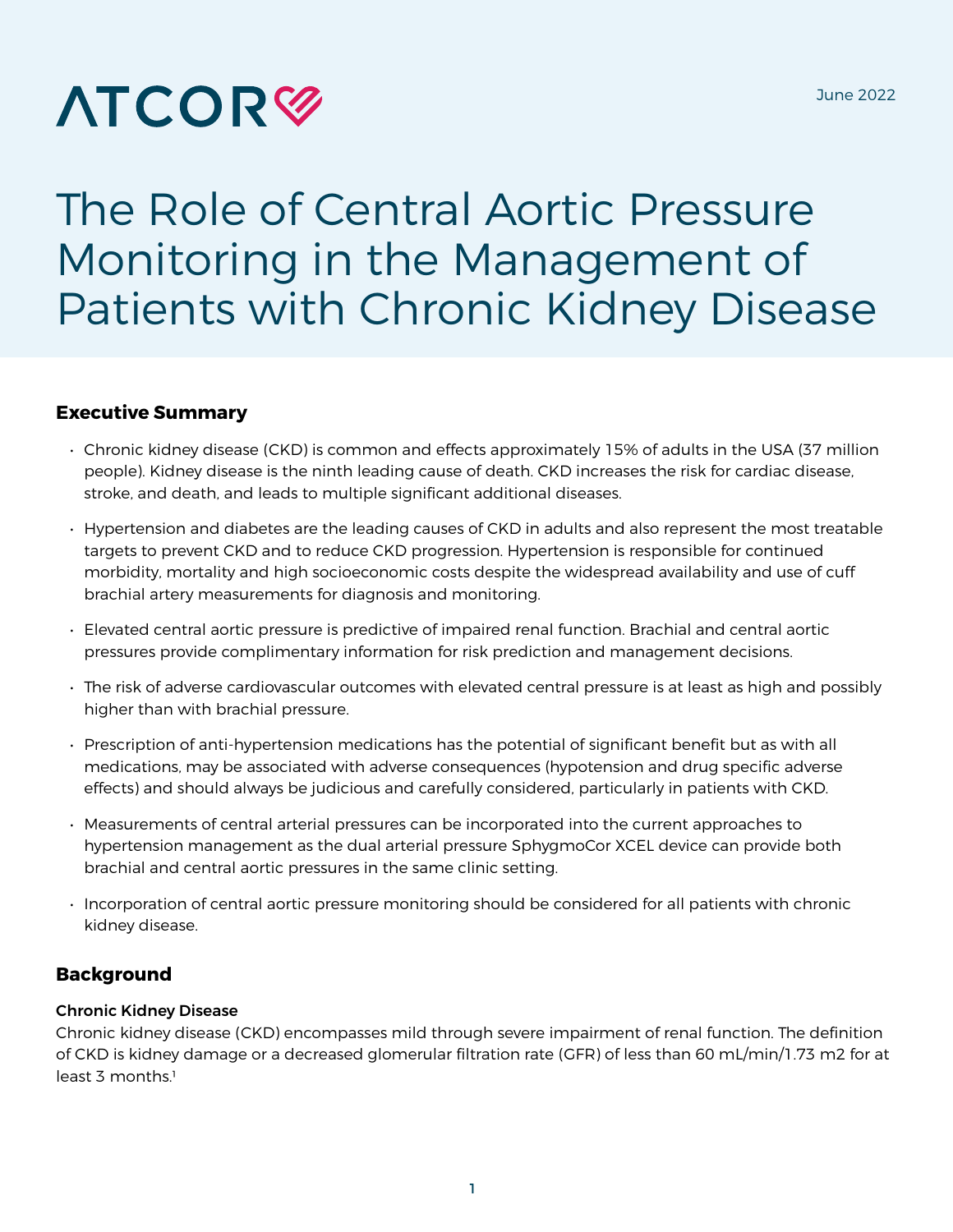# **ATCOR<sup>®</sup>**

# The Role of Central Aortic Pressure Monitoring in the Management of Patients with Chronic Kidney Disease

#### **Executive Summary**

- Chronic kidney disease (CKD) is common and effects approximately 15% of adults in the USA (37 million people). Kidney disease is the ninth leading cause of death. CKD increases the risk for cardiac disease, stroke, and death, and leads to multiple significant additional diseases.
- Hypertension and diabetes are the leading causes of CKD in adults and also represent the most treatable targets to prevent CKD and to reduce CKD progression. Hypertension is responsible for continued morbidity, mortality and high socioeconomic costs despite the widespread availability and use of cuff brachial artery measurements for diagnosis and monitoring.
- Elevated central aortic pressure is predictive of impaired renal function. Brachial and central aortic pressures provide complimentary information for risk prediction and management decisions.
- The risk of adverse cardiovascular outcomes with elevated central pressure is at least as high and possibly higher than with brachial pressure.
- Prescription of anti-hypertension medications has the potential of significant benefit but as with all medications, may be associated with adverse consequences (hypotension and drug specific adverse effects) and should always be judicious and carefully considered, particularly in patients with CKD.
- Measurements of central arterial pressures can be incorporated into the current approaches to hypertension management as the dual arterial pressure SphygmoCor XCEL device can provide both brachial and central aortic pressures in the same clinic setting.
- Incorporation of central aortic pressure monitoring should be considered for all patients with chronic kidney disease.

## **Background**

#### Chronic Kidney Disease

Chronic kidney disease (CKD) encompasses mild through severe impairment of renal function. The definition of CKD is kidney damage or a decreased glomerular filtration rate (GFR) of less than 60 mL/min/1.73 m2 for at  $least 3 months<sup>1</sup>$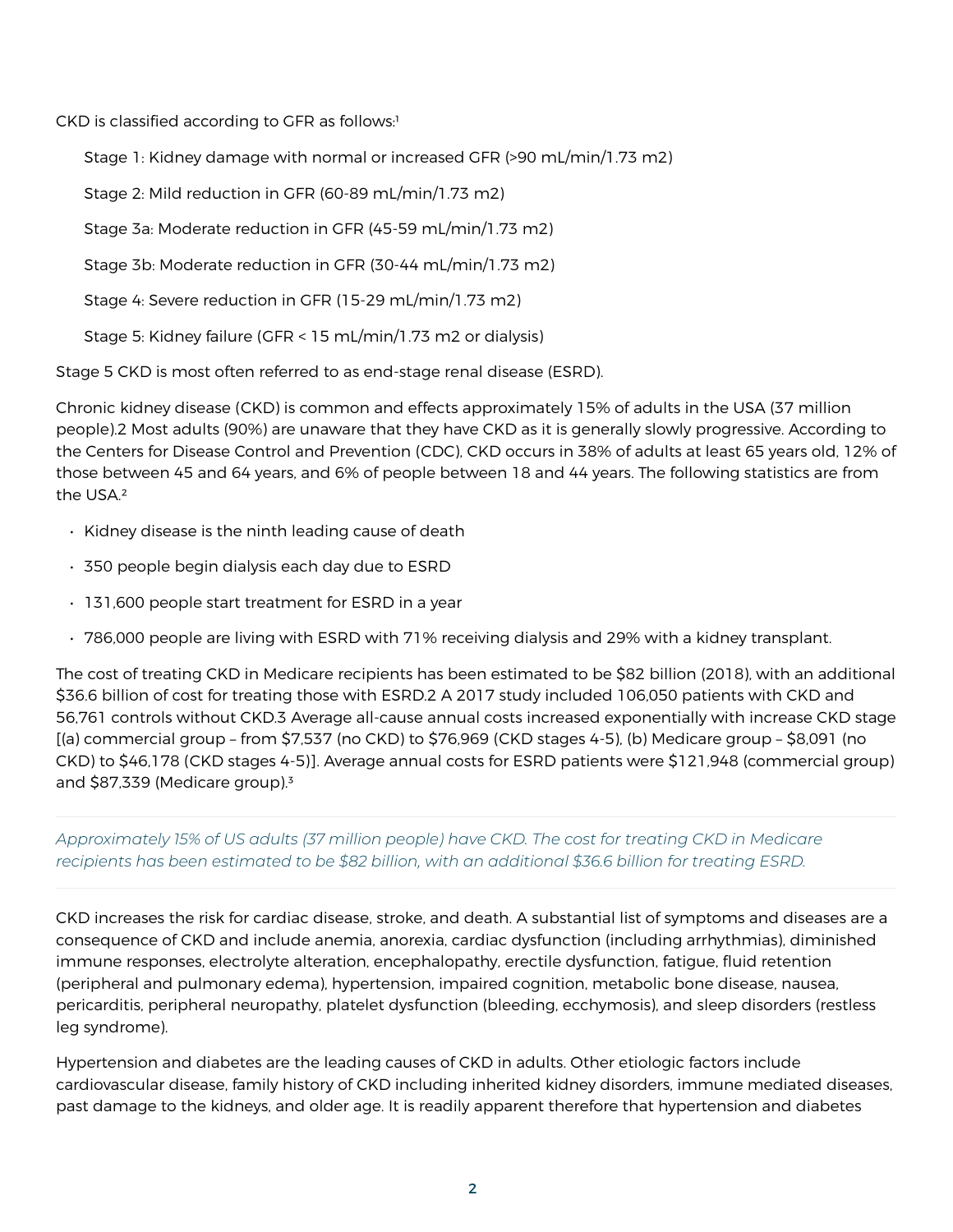CKD is classified according to GFR as follows:<sup>1</sup>

Stage 1: Kidney damage with normal or increased GFR (>90 mL/min/1.73 m2)

Stage 2: Mild reduction in GFR (60-89 mL/min/1.73 m2)

Stage 3a: Moderate reduction in GFR (45-59 mL/min/1.73 m2)

Stage 3b: Moderate reduction in GFR (30-44 mL/min/1.73 m2)

Stage 4: Severe reduction in GFR (15-29 mL/min/1.73 m2)

Stage 5: Kidney failure (GFR < 15 mL/min/1.73 m2 or dialysis)

Stage 5 CKD is most often referred to as end-stage renal disease (ESRD).

Chronic kidney disease (CKD) is common and effects approximately 15% of adults in the USA (37 million people).2 Most adults (90%) are unaware that they have CKD as it is generally slowly progressive. According to the Centers for Disease Control and Prevention (CDC), CKD occurs in 38% of adults at least 65 years old, 12% of those between 45 and 64 years, and 6% of people between 18 and 44 years. The following statistics are from the USA.²

- Kidney disease is the ninth leading cause of death
- 350 people begin dialysis each day due to ESRD
- 131,600 people start treatment for ESRD in a year
- 786,000 people are living with ESRD with 71% receiving dialysis and 29% with a kidney transplant.

The cost of treating CKD in Medicare recipients has been estimated to be \$82 billion (2018), with an additional \$36.6 billion of cost for treating those with ESRD.2 A 2017 study included 106,050 patients with CKD and 56,761 controls without CKD.3 Average all-cause annual costs increased exponentially with increase CKD stage [(a) commercial group – from \$7,537 (no CKD) to \$76,969 (CKD stages 4-5), (b) Medicare group – \$8,091 (no CKD) to \$46,178 (CKD stages 4-5)]. Average annual costs for ESRD patients were \$121,948 (commercial group) and  $$87,339$  (Medicare group).<sup>3</sup>

#### *Approximately 15% of US adults (37 million people) have CKD. The cost for treating CKD in Medicare recipients has been estimated to be \$82 billion, with an additional \$36.6 billion for treating ESRD.*

CKD increases the risk for cardiac disease, stroke, and death. A substantial list of symptoms and diseases are a consequence of CKD and include anemia, anorexia, cardiac dysfunction (including arrhythmias), diminished immune responses, electrolyte alteration, encephalopathy, erectile dysfunction, fatigue, fluid retention (peripheral and pulmonary edema), hypertension, impaired cognition, metabolic bone disease, nausea, pericarditis, peripheral neuropathy, platelet dysfunction (bleeding, ecchymosis), and sleep disorders (restless leg syndrome).

Hypertension and diabetes are the leading causes of CKD in adults. Other etiologic factors include cardiovascular disease, family history of CKD including inherited kidney disorders, immune mediated diseases, past damage to the kidneys, and older age. It is readily apparent therefore that hypertension and diabetes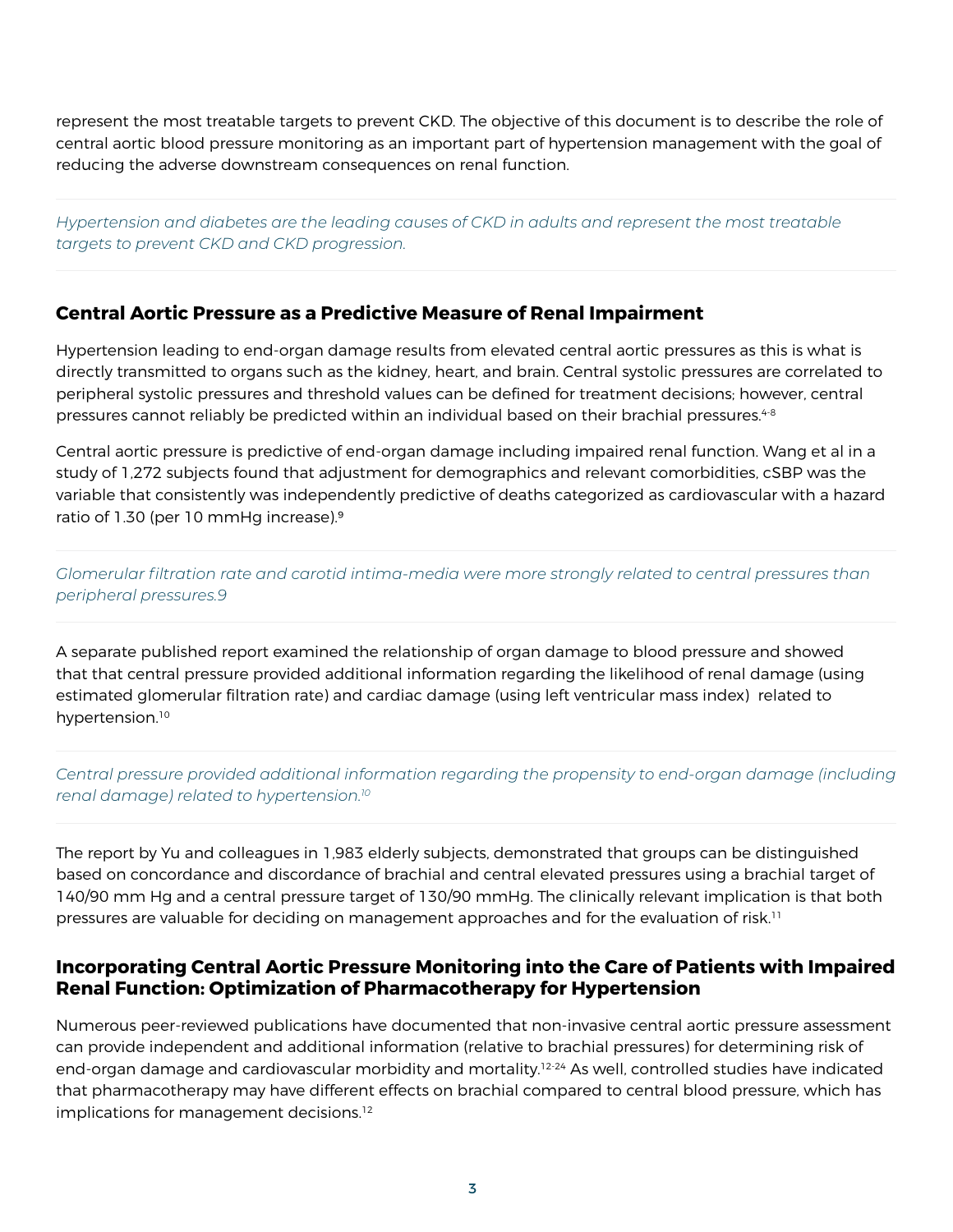represent the most treatable targets to prevent CKD. The objective of this document is to describe the role of central aortic blood pressure monitoring as an important part of hypertension management with the goal of reducing the adverse downstream consequences on renal function.

*Hypertension and diabetes are the leading causes of CKD in adults and represent the most treatable targets to prevent CKD and CKD progression.*

#### **Central Aortic Pressure as a Predictive Measure of Renal Impairment**

Hypertension leading to end-organ damage results from elevated central aortic pressures as this is what is directly transmitted to organs such as the kidney, heart, and brain. Central systolic pressures are correlated to peripheral systolic pressures and threshold values can be defined for treatment decisions; however, central pressures cannot reliably be predicted within an individual based on their brachial pressures.<sup>4-8</sup>

Central aortic pressure is predictive of end-organ damage including impaired renal function. Wang et al in a study of 1,272 subjects found that adjustment for demographics and relevant comorbidities, cSBP was the variable that consistently was independently predictive of deaths categorized as cardiovascular with a hazard ratio of 1.30 (per 10 mmHg increase).9

*Glomerular filtration rate and carotid intima-media were more strongly related to central pressures than peripheral pressures.9*

A separate published report examined the relationship of organ damage to blood pressure and showed that that central pressure provided additional information regarding the likelihood of renal damage (using estimated glomerular filtration rate) and cardiac damage (using left ventricular mass index) related to hypertension.<sup>10</sup>

#### *Central pressure provided additional information regarding the propensity to end-organ damage (including renal damage) related to hypertension.10*

The report by Yu and colleagues in 1,983 elderly subjects, demonstrated that groups can be distinguished based on concordance and discordance of brachial and central elevated pressures using a brachial target of 140/90 mm Hg and a central pressure target of 130/90 mmHg. The clinically relevant implication is that both pressures are valuable for deciding on management approaches and for the evaluation of risk.<sup>11</sup>

#### **Incorporating Central Aortic Pressure Monitoring into the Care of Patients with Impaired Renal Function: Optimization of Pharmacotherapy for Hypertension**

Numerous peer-reviewed publications have documented that non-invasive central aortic pressure assessment can provide independent and additional information (relative to brachial pressures) for determining risk of end-organ damage and cardiovascular morbidity and mortality.<sup>12-24</sup> As well, controlled studies have indicated that pharmacotherapy may have different effects on brachial compared to central blood pressure, which has implications for management decisions.<sup>12</sup>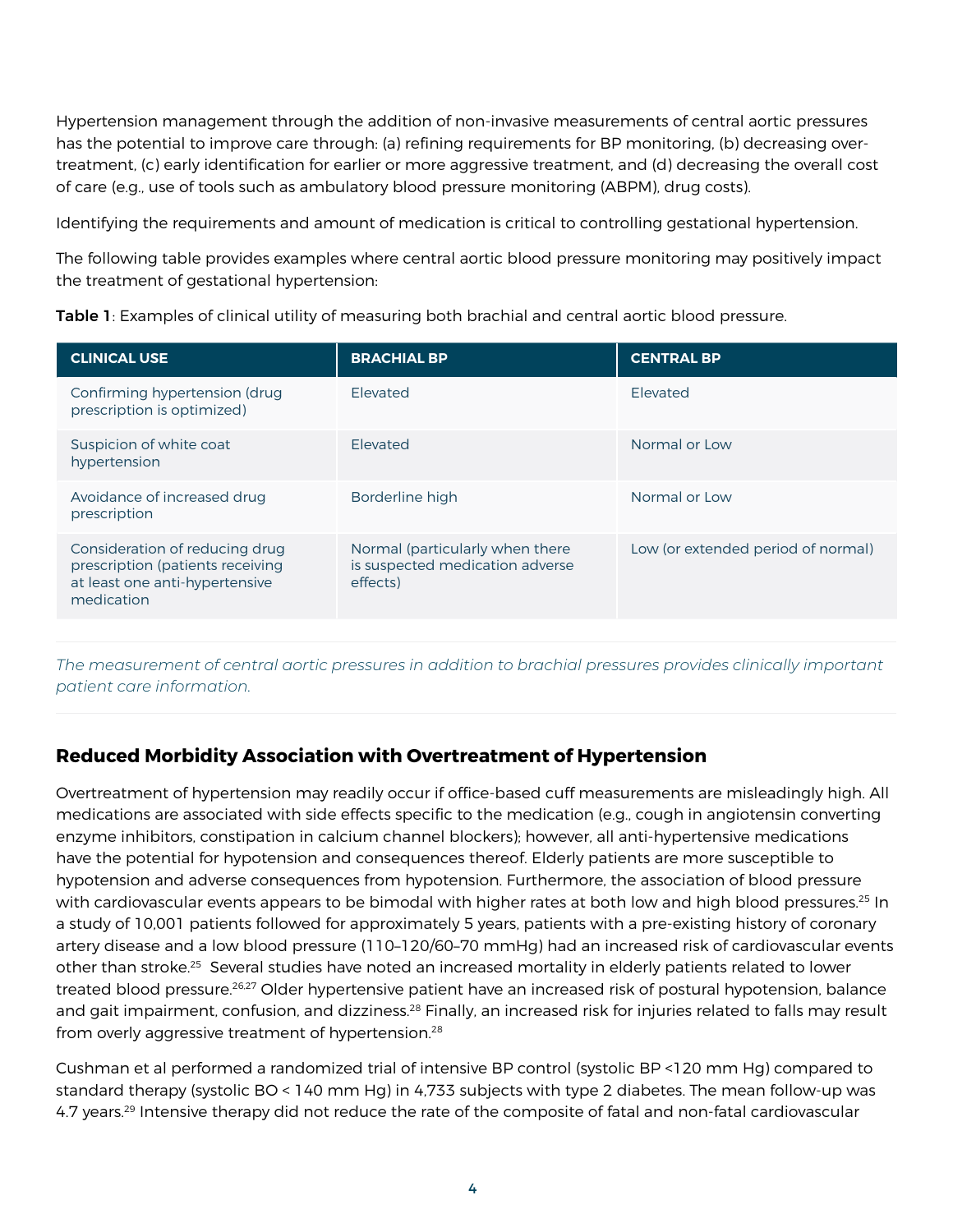Hypertension management through the addition of non-invasive measurements of central aortic pressures has the potential to improve care through: (a) refining requirements for BP monitoring, (b) decreasing overtreatment, (c) early identification for earlier or more aggressive treatment, and (d) decreasing the overall cost of care (e.g., use of tools such as ambulatory blood pressure monitoring (ABPM), drug costs).

Identifying the requirements and amount of medication is critical to controlling gestational hypertension.

The following table provides examples where central aortic blood pressure monitoring may positively impact the treatment of gestational hypertension:

|  |  |  |  |  | Table 1: Examples of clinical utility of measuring both brachial and central aortic blood pressure. |
|--|--|--|--|--|-----------------------------------------------------------------------------------------------------|
|--|--|--|--|--|-----------------------------------------------------------------------------------------------------|

| <b>CLINICAL USE</b>                                                                                                | <b>BRACHIAL BP</b>                                                             | <b>CENTRAL BP</b>                  |
|--------------------------------------------------------------------------------------------------------------------|--------------------------------------------------------------------------------|------------------------------------|
| Confirming hypertension (drug<br>prescription is optimized)                                                        | Flevated                                                                       | <b>Flevated</b>                    |
| Suspicion of white coat<br>hypertension                                                                            | Flevated                                                                       | Normal or Low                      |
| Avoidance of increased drug<br>prescription                                                                        | Borderline high                                                                | Normal or Low                      |
| Consideration of reducing drug<br>prescription (patients receiving<br>at least one anti-hypertensive<br>medication | Normal (particularly when there<br>is suspected medication adverse<br>effects) | Low (or extended period of normal) |

*The measurement of central aortic pressures in addition to brachial pressures provides clinically important patient care information.*

## **Reduced Morbidity Association with Overtreatment of Hypertension**

Overtreatment of hypertension may readily occur if office-based cuff measurements are misleadingly high. All medications are associated with side effects specific to the medication (e.g., cough in angiotensin converting enzyme inhibitors, constipation in calcium channel blockers); however, all anti-hypertensive medications have the potential for hypotension and consequences thereof. Elderly patients are more susceptible to hypotension and adverse consequences from hypotension. Furthermore, the association of blood pressure with cardiovascular events appears to be bimodal with higher rates at both low and high blood pressures.<sup>25</sup> In a study of 10,001 patients followed for approximately 5 years, patients with a pre-existing history of coronary artery disease and a low blood pressure (110–120/60–70 mmHg) had an increased risk of cardiovascular events other than stroke.<sup>25</sup> Several studies have noted an increased mortality in elderly patients related to lower treated blood pressure.<sup>26,27</sup> Older hypertensive patient have an increased risk of postural hypotension, balance and gait impairment, confusion, and dizziness.<sup>28</sup> Finally, an increased risk for injuries related to falls may result from overly aggressive treatment of hypertension.<sup>28</sup>

Cushman et al performed a randomized trial of intensive BP control (systolic BP <120 mm Hg) compared to standard therapy (systolic BO < 140 mm Hg) in 4,733 subjects with type 2 diabetes. The mean follow-up was 4.7 years.<sup>29</sup> Intensive therapy did not reduce the rate of the composite of fatal and non-fatal cardiovascular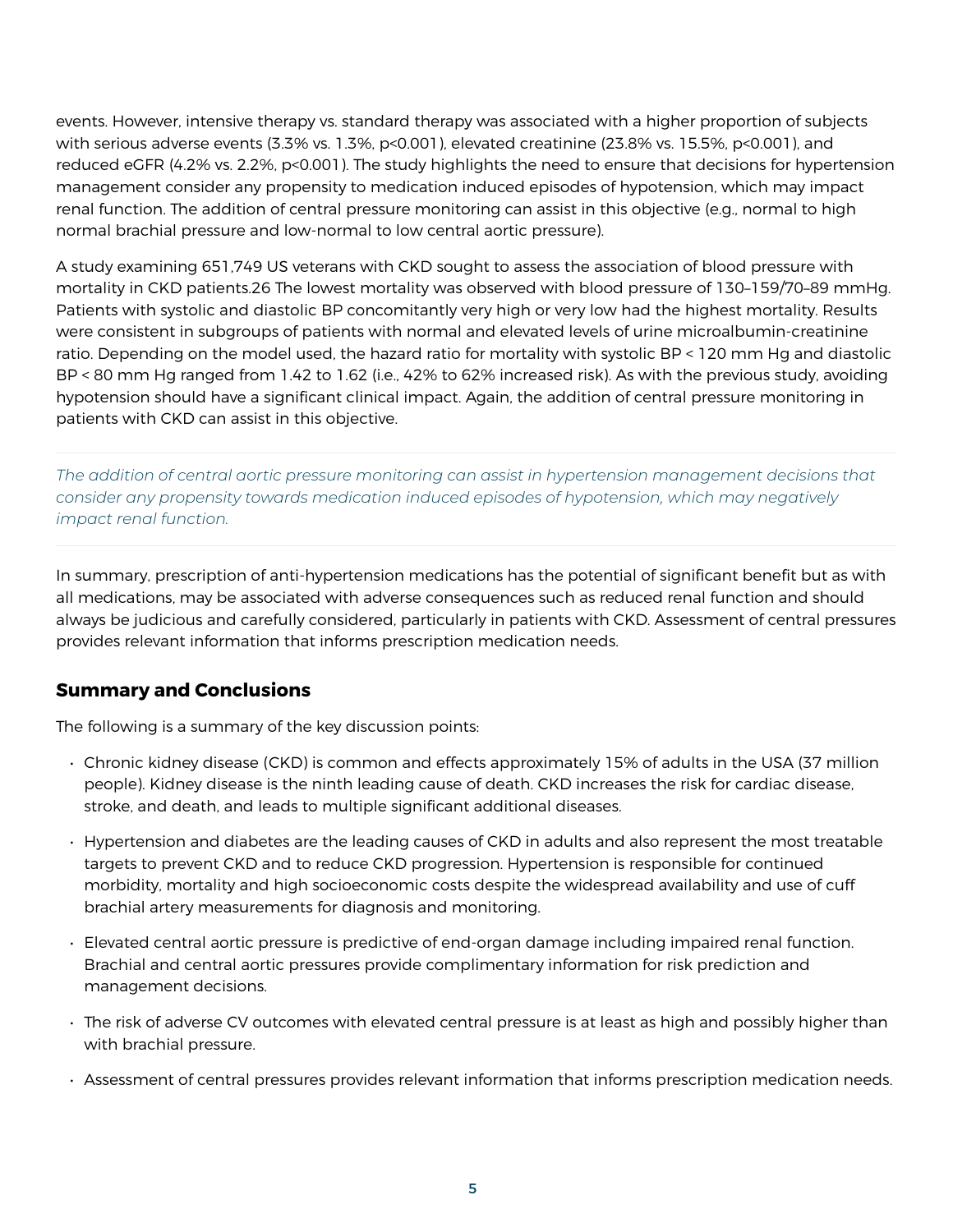events. However, intensive therapy vs. standard therapy was associated with a higher proportion of subjects with serious adverse events (3.3% vs. 1.3%, p<0.001), elevated creatinine (23.8% vs. 15.5%, p<0.001), and reduced eGFR (4.2% vs. 2.2%, p<0.001). The study highlights the need to ensure that decisions for hypertension management consider any propensity to medication induced episodes of hypotension, which may impact renal function. The addition of central pressure monitoring can assist in this objective (e.g., normal to high normal brachial pressure and low-normal to low central aortic pressure).

A study examining 651,749 US veterans with CKD sought to assess the association of blood pressure with mortality in CKD patients.26 The lowest mortality was observed with blood pressure of 130–159/70–89 mmHg. Patients with systolic and diastolic BP concomitantly very high or very low had the highest mortality. Results were consistent in subgroups of patients with normal and elevated levels of urine microalbumin-creatinine ratio. Depending on the model used, the hazard ratio for mortality with systolic BP < 120 mm Hg and diastolic BP < 80 mm Hg ranged from 1.42 to 1.62 (i.e., 42% to 62% increased risk). As with the previous study, avoiding hypotension should have a significant clinical impact. Again, the addition of central pressure monitoring in patients with CKD can assist in this objective.

*The addition of central aortic pressure monitoring can assist in hypertension management decisions that consider any propensity towards medication induced episodes of hypotension, which may negatively impact renal function.*

In summary, prescription of anti-hypertension medications has the potential of significant benefit but as with all medications, may be associated with adverse consequences such as reduced renal function and should always be judicious and carefully considered, particularly in patients with CKD. Assessment of central pressures provides relevant information that informs prescription medication needs.

## **Summary and Conclusions**

The following is a summary of the key discussion points:

- Chronic kidney disease (CKD) is common and effects approximately 15% of adults in the USA (37 million people). Kidney disease is the ninth leading cause of death. CKD increases the risk for cardiac disease, stroke, and death, and leads to multiple significant additional diseases.
- Hypertension and diabetes are the leading causes of CKD in adults and also represent the most treatable targets to prevent CKD and to reduce CKD progression. Hypertension is responsible for continued morbidity, mortality and high socioeconomic costs despite the widespread availability and use of cuff brachial artery measurements for diagnosis and monitoring.
- Elevated central aortic pressure is predictive of end-organ damage including impaired renal function. Brachial and central aortic pressures provide complimentary information for risk prediction and management decisions.
- The risk of adverse CV outcomes with elevated central pressure is at least as high and possibly higher than with brachial pressure.
- Assessment of central pressures provides relevant information that informs prescription medication needs.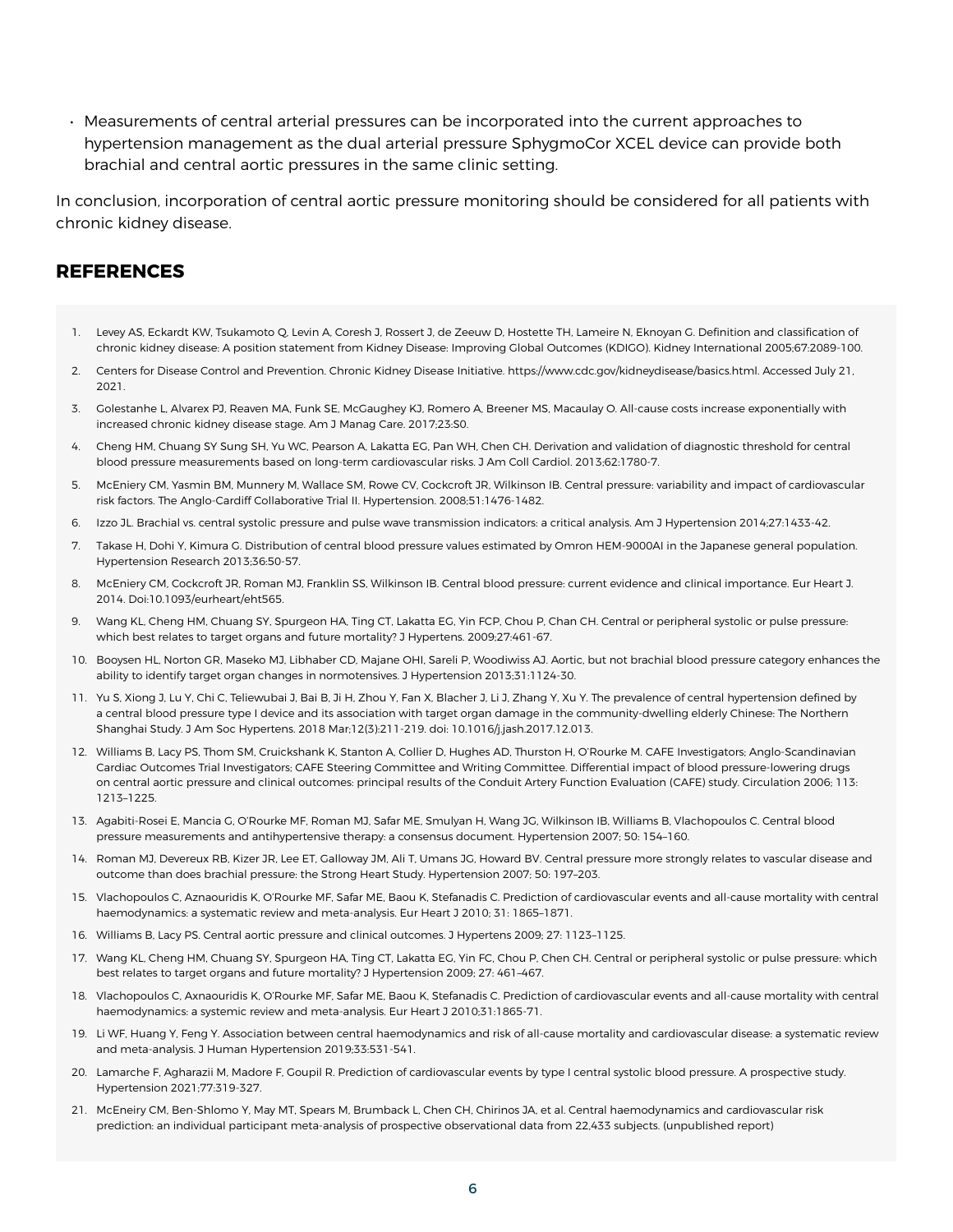• Measurements of central arterial pressures can be incorporated into the current approaches to hypertension management as the dual arterial pressure SphygmoCor XCEL device can provide both brachial and central aortic pressures in the same clinic setting.

In conclusion, incorporation of central aortic pressure monitoring should be considered for all patients with chronic kidney disease.

#### **REFERENCES**

- 1. Levey AS, Eckardt KW, Tsukamoto Q, Levin A, Coresh J, Rossert J, de Zeeuw D, Hostette TH, Lameire N, Eknoyan G. Definition and classification of chronic kidney disease: A position statement from Kidney Disease: Improving Global Outcomes (KDIGO). Kidney International 2005;67:2089-100.
- 2. Centers for Disease Control and Prevention. Chronic Kidney Disease Initiative. https://www.cdc.gov/kidneydisease/basics.html. Accessed July 21, 2021.
- 3. Golestanhe L, Alvarex PJ, Reaven MA, Funk SE, McGaughey KJ, Romero A, Breener MS, Macaulay O. All-cause costs increase exponentially with increased chronic kidney disease stage. Am J Manag Care. 2017;23:S0.
- 4. Cheng HM, Chuang SY Sung SH, Yu WC, Pearson A, Lakatta EG, Pan WH, Chen CH. Derivation and validation of diagnostic threshold for central blood pressure measurements based on long-term cardiovascular risks. J Am Coll Cardiol. 2013;62:1780-7.
- 5. McEniery CM, Yasmin BM, Munnery M, Wallace SM, Rowe CV, Cockcroft JR, Wilkinson IB. Central pressure: variability and impact of cardiovascular risk factors. The Anglo-Cardiff Collaborative Trial II. Hypertension. 2008;51:1476-1482.
- 6. Izzo JL. Brachial vs. central systolic pressure and pulse wave transmission indicators: a critical analysis. Am J Hypertension 2014;27:1433-42.
- 7. Takase H, Dohi Y, Kimura G. Distribution of central blood pressure values estimated by Omron HEM-9000AI in the Japanese general population. Hypertension Research 2013;36:50-57.
- 8. McEniery CM, Cockcroft JR, Roman MJ, Franklin SS, Wilkinson IB. Central blood pressure: current evidence and clinical importance. Eur Heart J. 2014. Doi:10.1093/eurheart/eht565.
- 9. Wang KL, Cheng HM, Chuang SY, Spurgeon HA, Ting CT, Lakatta EG, Yin FCP, Chou P, Chan CH. Central or peripheral systolic or pulse pressure: which best relates to target organs and future mortality? J Hypertens. 2009;27:461-67.
- 10. Booysen HL, Norton GR, Maseko MJ, Libhaber CD, Majane OHI, Sareli P, Woodiwiss AJ. Aortic, but not brachial blood pressure category enhances the ability to identify target organ changes in normotensives. J Hypertension 2013;31:1124-30.
- 11. Yu S, Xiong J, Lu Y, Chi C, Teliewubai J, Bai B, Ji H, Zhou Y, Fan X, Blacher J, Li J, Zhang Y, Xu Y. The prevalence of central hypertension defined by a central blood pressure type I device and its association with target organ damage in the community-dwelling elderly Chinese: The Northern Shanghai Study. J Am Soc Hypertens. 2018 Mar;12(3):211-219. doi: 10.1016/j.jash.2017.12.013.
- 12. Williams B, Lacy PS, Thom SM, Cruickshank K, Stanton A, Collier D, Hughes AD, Thurston H, O'Rourke M. CAFE Investigators; Anglo-Scandinavian Cardiac Outcomes Trial Investigators; CAFE Steering Committee and Writing Committee. Differential impact of blood pressure-lowering drugs on central aortic pressure and clinical outcomes: principal results of the Conduit Artery Function Evaluation (CAFE) study. Circulation 2006; 113: 1213–1225.
- 13. Agabiti-Rosei E, Mancia G, O'Rourke MF, Roman MJ, Safar ME, Smulyan H, Wang JG, Wilkinson IB, Williams B, Vlachopoulos C. Central blood pressure measurements and antihypertensive therapy: a consensus document. Hypertension 2007; 50: 154–160.
- 14. Roman MJ, Devereux RB, Kizer JR, Lee ET, Galloway JM, Ali T, Umans JG, Howard BV. Central pressure more strongly relates to vascular disease and outcome than does brachial pressure: the Strong Heart Study. Hypertension 2007; 50: 197–203.
- 15. Vlachopoulos C, Aznaouridis K, O'Rourke MF, Safar ME, Baou K, Stefanadis C. Prediction of cardiovascular events and all-cause mortality with central haemodynamics: a systematic review and meta-analysis. Eur Heart J 2010; 31: 1865–1871.
- 16. Williams B, Lacy PS. Central aortic pressure and clinical outcomes. J Hypertens 2009; 27: 1123–1125.
- 17. Wang KL, Cheng HM, Chuang SY, Spurgeon HA, Ting CT, Lakatta EG, Yin FC, Chou P, Chen CH. Central or peripheral systolic or pulse pressure: which best relates to target organs and future mortality? J Hypertension 2009; 27: 461–467.
- 18. Vlachopoulos C, Axnaouridis K, O'Rourke MF, Safar ME, Baou K, Stefanadis C. Prediction of cardiovascular events and all-cause mortality with central haemodynamics: a systemic review and meta-analysis. Eur Heart J 2010;31:1865-71.
- 19. Li WF, Huang Y, Feng Y. Association between central haemodynamics and risk of all-cause mortality and cardiovascular disease: a systematic review and meta-analysis. J Human Hypertension 2019;33:531-541.
- 20. Lamarche F, Agharazii M, Madore F, Goupil R. Prediction of cardiovascular events by type I central systolic blood pressure. A prospective study. Hypertension 2021;77:319-327.
- 21. McEneiry CM, Ben-Shlomo Y, May MT, Spears M, Brumback L, Chen CH, Chirinos JA, et al. Central haemodynamics and cardiovascular risk prediction: an individual participant meta-analysis of prospective observational data from 22,433 subjects. (unpublished report)